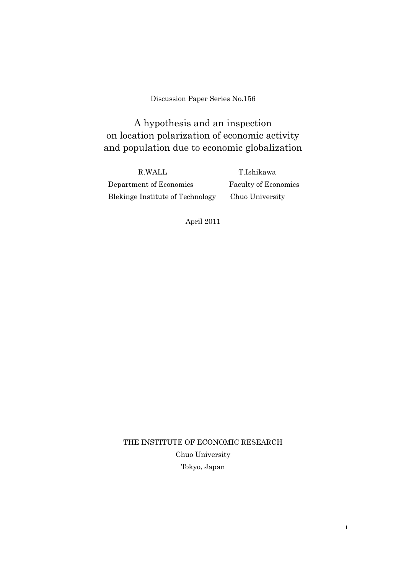Discussion Paper Series No.156

A hypothesis and an inspection on location polarization of economic activity and population due to economic globalization

R.WALL T.Ishikawa Department of Economics Faculty of Economics Blekinge Institute of Technology Chuo University

April 2011

THE INSTITUTE OF ECONOMIC RESEARCH Chuo University Tokyo, Japan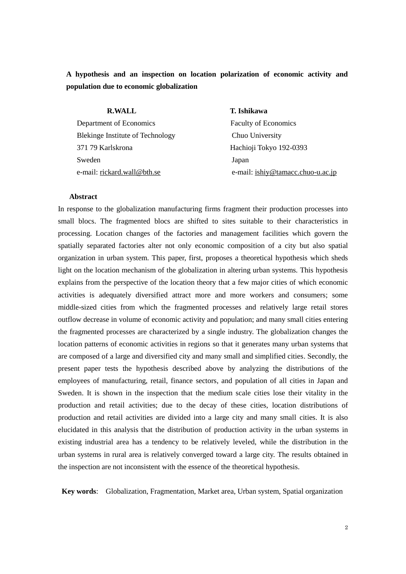**A hypothesis and an inspection on location polarization of economic activity and population due to economic globalization** 

| <b>R.WALL</b>                           | T. Ishikawa                       |
|-----------------------------------------|-----------------------------------|
| Department of Economics                 | <b>Faculty of Economics</b>       |
| <b>Blekinge Institute of Technology</b> | Chuo University                   |
| 371 79 Karlskrona                       | Hachioji Tokyo 192-0393           |
| Sweden                                  | Japan                             |
| e-mail: rickard.wall@bth.se             | e-mail: ishiy@tamacc.chuo-u.ac.jp |

#### **Abstract**

In response to the globalization manufacturing firms fragment their production processes into small blocs. The fragmented blocs are shifted to sites suitable to their characteristics in processing. Location changes of the factories and management facilities which govern the spatially separated factories alter not only economic composition of a city but also spatial organization in urban system. This paper, first, proposes a theoretical hypothesis which sheds light on the location mechanism of the globalization in altering urban systems. This hypothesis explains from the perspective of the location theory that a few major cities of which economic activities is adequately diversified attract more and more workers and consumers; some middle-sized cities from which the fragmented processes and relatively large retail stores outflow decrease in volume of economic activity and population; and many small cities entering the fragmented processes are characterized by a single industry. The globalization changes the location patterns of economic activities in regions so that it generates many urban systems that are composed of a large and diversified city and many small and simplified cities. Secondly, the present paper tests the hypothesis described above by analyzing the distributions of the employees of manufacturing, retail, finance sectors, and population of all cities in Japan and Sweden. It is shown in the inspection that the medium scale cities lose their vitality in the production and retail activities; due to the decay of these cities, location distributions of production and retail activities are divided into a large city and many small cities. It is also elucidated in this analysis that the distribution of production activity in the urban systems in existing industrial area has a tendency to be relatively leveled, while the distribution in the urban systems in rural area is relatively converged toward a large city. The results obtained in the inspection are not inconsistent with the essence of the theoretical hypothesis.

**Key words**: Globalization, Fragmentation, Market area, Urban system, Spatial organization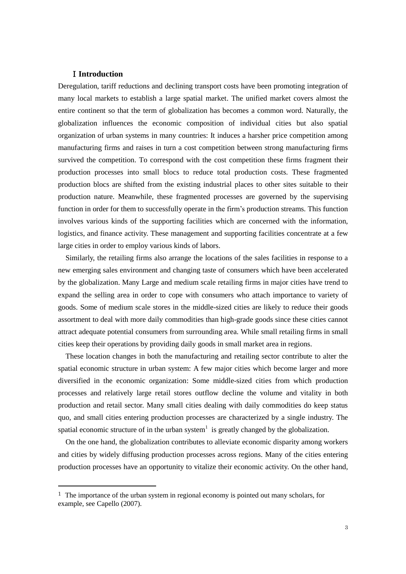## I**Introduction**

 $\overline{a}$ 

Deregulation, tariff reductions and declining transport costs have been promoting integration of many local markets to establish a large spatial market. The unified market covers almost the entire continent so that the term of globalization has becomes a common word. Naturally, the globalization influences the economic composition of individual cities but also spatial organization of urban systems in many countries: It induces a harsher price competition among manufacturing firms and raises in turn a cost competition between strong manufacturing firms survived the competition. To correspond with the cost competition these firms fragment their production processes into small blocs to reduce total production costs. These fragmented production blocs are shifted from the existing industrial places to other sites suitable to their production nature. Meanwhile, these fragmented processes are governed by the supervising function in order for them to successfully operate in the firm's production streams. This function involves various kinds of the supporting facilities which are concerned with the information, logistics, and finance activity. These management and supporting facilities concentrate at a few large cities in order to employ various kinds of labors.

Similarly, the retailing firms also arrange the locations of the sales facilities in response to a new emerging sales environment and changing taste of consumers which have been accelerated by the globalization. Many Large and medium scale retailing firms in major cities have trend to expand the selling area in order to cope with consumers who attach importance to variety of goods. Some of medium scale stores in the middle-sized cities are likely to reduce their goods assortment to deal with more daily commodities than high-grade goods since these cities cannot attract adequate potential consumers from surrounding area. While small retailing firms in small cities keep their operations by providing daily goods in small market area in regions.

These location changes in both the manufacturing and retailing sector contribute to alter the spatial economic structure in urban system: A few major cities which become larger and more diversified in the economic organization: Some middle-sized cities from which production processes and relatively large retail stores outflow decline the volume and vitality in both production and retail sector. Many small cities dealing with daily commodities do keep status quo, and small cities entering production processes are characterized by a single industry. The spatial economic structure of in the urban system<sup>1</sup> is greatly changed by the globalization.

On the one hand, the globalization contributes to alleviate economic disparity among workers and cities by widely diffusing production processes across regions. Many of the cities entering production processes have an opportunity to vitalize their economic activity. On the other hand,

 $1$  The importance of the urban system in regional economy is pointed out many scholars, for example, see Capello (2007).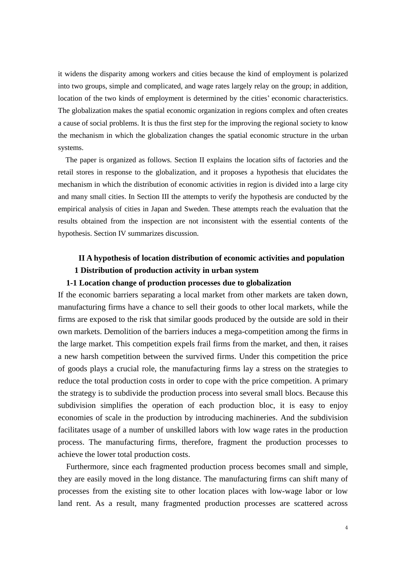it widens the disparity among workers and cities because the kind of employment is polarized into two groups, simple and complicated, and wage rates largely relay on the group; in addition, location of the two kinds of employment is determined by the cities' economic characteristics. The globalization makes the spatial economic organization in regions complex and often creates a cause of social problems. It is thus the first step for the improving the regional society to know the mechanism in which the globalization changes the spatial economic structure in the urban systems.

The paper is organized as follows. Section II explains the location sifts of factories and the retail stores in response to the globalization, and it proposes a hypothesis that elucidates the mechanism in which the distribution of economic activities in region is divided into a large city and many small cities. In Section III the attempts to verify the hypothesis are conducted by the empirical analysis of cities in Japan and Sweden. These attempts reach the evaluation that the results obtained from the inspection are not inconsistent with the essential contents of the hypothesis. Section IV summarizes discussion.

# **II A hypothesis of location distribution of economic activities and population 1 Distribution of production activity in urban system**

## **1-1 Location change of production processes due to globalization**

If the economic barriers separating a local market from other markets are taken down, manufacturing firms have a chance to sell their goods to other local markets, while the firms are exposed to the risk that similar goods produced by the outside are sold in their own markets. Demolition of the barriers induces a mega-competition among the firms in the large market. This competition expels frail firms from the market, and then, it raises a new harsh competition between the survived firms. Under this competition the price of goods plays a crucial role, the manufacturing firms lay a stress on the strategies to reduce the total production costs in order to cope with the price competition. A primary the strategy is to subdivide the production process into several small blocs. Because this subdivision simplifies the operation of each production bloc, it is easy to enjoy economies of scale in the production by introducing machineries. And the subdivision facilitates usage of a number of unskilled labors with low wage rates in the production process. The manufacturing firms, therefore, fragment the production processes to achieve the lower total production costs.

Furthermore, since each fragmented production process becomes small and simple, they are easily moved in the long distance. The manufacturing firms can shift many of processes from the existing site to other location places with low-wage labor or low land rent. As a result, many fragmented production processes are scattered across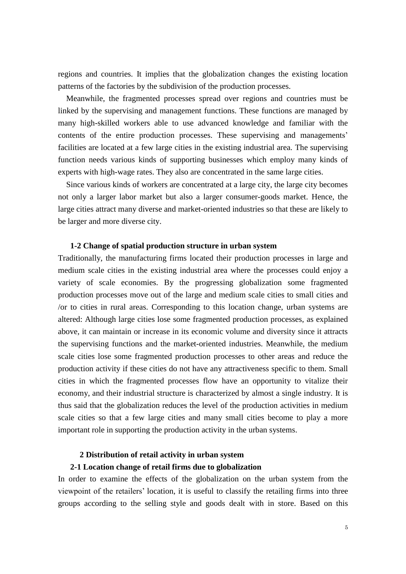regions and countries. It implies that the globalization changes the existing location patterns of the factories by the subdivision of the production processes.

Meanwhile, the fragmented processes spread over regions and countries must be linked by the supervising and management functions. These functions are managed by many high-skilled workers able to use advanced knowledge and familiar with the contents of the entire production processes. These supervising and managements' facilities are located at a few large cities in the existing industrial area. The supervising function needs various kinds of supporting businesses which employ many kinds of experts with high-wage rates. They also are concentrated in the same large cities.

Since various kinds of workers are concentrated at a large city, the large city becomes not only a larger labor market but also a larger consumer-goods market. Hence, the large cities attract many diverse and market-oriented industries so that these are likely to be larger and more diverse city.

### **1-2 Change of spatial production structure in urban system**

Traditionally, the manufacturing firms located their production processes in large and medium scale cities in the existing industrial area where the processes could enjoy a variety of scale economies. By the progressing globalization some fragmented production processes move out of the large and medium scale cities to small cities and /or to cities in rural areas. Corresponding to this location change, urban systems are altered: Although large cities lose some fragmented production processes, as explained above, it can maintain or increase in its economic volume and diversity since it attracts the supervising functions and the market-oriented industries. Meanwhile, the medium scale cities lose some fragmented production processes to other areas and reduce the production activity if these cities do not have any attractiveness specific to them. Small cities in which the fragmented processes flow have an opportunity to vitalize their economy, and their industrial structure is characterized by almost a single industry. It is thus said that the globalization reduces the level of the production activities in medium scale cities so that a few large cities and many small cities become to play a more important role in supporting the production activity in the urban systems.

#### **2 Distribution of retail activity in urban system**

#### **2-1 Location change of retail firms due to globalization**

In order to examine the effects of the globalization on the urban system from the viewpoint of the retailers' location, it is useful to classify the retailing firms into three groups according to the selling style and goods dealt with in store. Based on this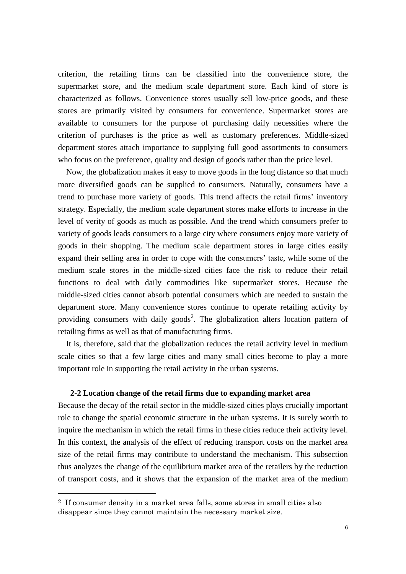criterion, the retailing firms can be classified into the convenience store, the supermarket store, and the medium scale department store. Each kind of store is characterized as follows. Convenience stores usually sell low-price goods, and these stores are primarily visited by consumers for convenience. Supermarket stores are available to consumers for the purpose of purchasing daily necessities where the criterion of purchases is the price as well as customary preferences. Middle-sized department stores attach importance to supplying full good assortments to consumers who focus on the preference, quality and design of goods rather than the price level.

Now, the globalization makes it easy to move goods in the long distance so that much more diversified goods can be supplied to consumers. Naturally, consumers have a trend to purchase more variety of goods. This trend affects the retail firms' inventory strategy. Especially, the medium scale department stores make efforts to increase in the level of verity of goods as much as possible. And the trend which consumers prefer to variety of goods leads consumers to a large city where consumers enjoy more variety of goods in their shopping. The medium scale department stores in large cities easily expand their selling area in order to cope with the consumers' taste, while some of the medium scale stores in the middle-sized cities face the risk to reduce their retail functions to deal with daily commodities like supermarket stores. Because the middle-sized cities cannot absorb potential consumers which are needed to sustain the department store. Many convenience stores continue to operate retailing activity by providing consumers with daily goods<sup>2</sup>. The globalization alters location pattern of retailing firms as well as that of manufacturing firms.

It is, therefore, said that the globalization reduces the retail activity level in medium scale cities so that a few large cities and many small cities become to play a more important role in supporting the retail activity in the urban systems.

# **2-2 Location change of the retail firms due to expanding market area**

Because the decay of the retail sector in the middle-sized cities plays crucially important role to change the spatial economic structure in the urban systems. It is surely worth to inquire the mechanism in which the retail firms in these cities reduce their activity level. In this context, the analysis of the effect of reducing transport costs on the market area size of the retail firms may contribute to understand the mechanism. This subsection thus analyzes the change of the equilibrium market area of the retailers by the reduction of transport costs, and it shows that the expansion of the market area of the medium

 $\overline{a}$ 

<sup>2</sup> If consumer density in a market area falls, some stores in small cities also disappear since they cannot maintain the necessary market size.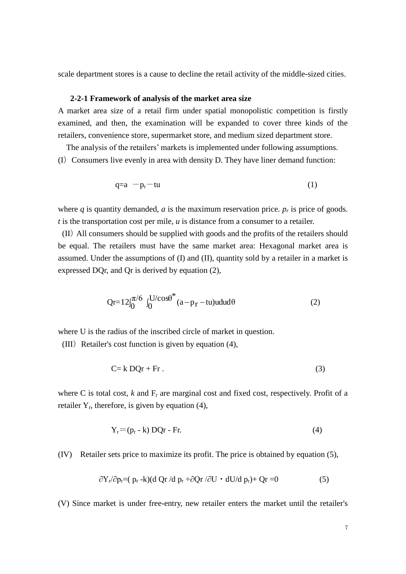scale department stores is a cause to decline the retail activity of the middle-sized cities.

## **2-2-1 Framework of analysis of the market area size**

A market area size of a retail firm under spatial monopolistic competition is firstly examined, and then, the examination will be expanded to cover three kinds of the retailers, convenience store, supermarket store, and medium sized department store.

The analysis of the retailers' markets is implemented under following assumptions.  $(I)$  Consumers live evenly in area with density D. They have liner demand function:

$$
q=a-p_r-tu \qquad (1)
$$

where *q* is quantity demanded, *a* is the maximum reservation price.  $p_r$  is price of goods. *t* is the transportation cost per mile, *u* is distance from a consumer to a retailer.

(II)All consumers should be supplied with goods and the profits of the retailers should be equal. The retailers must have the same market area: Hexagonal market area is assumed. Under the assumptions of (I) and (II), quantity sold by a retailer in a market is expressed DQr, and Qr is derived by equation (2),

$$
Qr=12\int_0^{\pi/6} \int_0^{U/cos\theta^*} (a-p_r-tu)u du d\theta
$$
 (2)

where U is the radius of the inscribed circle of market in question.

(III) Retailer's cost function is given by equation  $(4)$ ,

$$
C = k DQr + Fr. \tag{3}
$$

where C is total cost,  $k$  and  $F_r$  are marginal cost and fixed cost, respectively. Profit of a retailer  $Y_r$ , therefore, is given by equation (4),

$$
Y_r = (p_r - k) DQr - Fr.
$$
 (4)

(IV) Retailer sets price to maximize its profit. The price is obtained by equation (5),

$$
\frac{\partial Y_r}{\partial p_r} = (p_r - k)(d Qr / d p_r + \frac{\partial Qr}{\partial U} \cdot dU/d p_r) + Qr = 0
$$
\n<sup>(5)</sup>

(V) Since market is under free-entry, new retailer enters the market until the retailer's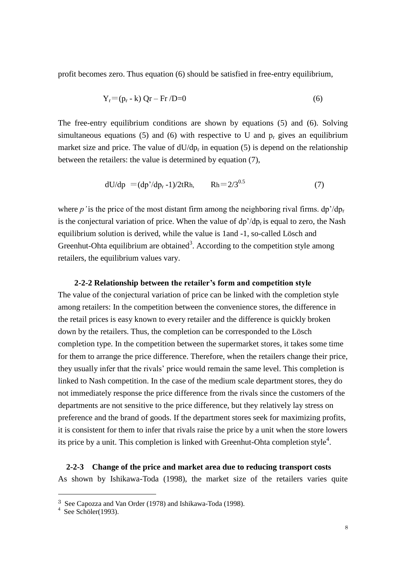profit becomes zero. Thus equation (6) should be satisfied in free-entry equilibrium,

$$
Y_r = (p_r - k) Qr - Fr / D = 0 \tag{6}
$$

The free-entry equilibrium conditions are shown by equations (5) and (6). Solving simultaneous equations (5) and (6) with respective to U and  $p<sub>r</sub>$  gives an equilibrium market size and price. The value of  $dU/dp_r$  in equation (5) is depend on the relationship between the retailers: the value is determined by equation (7),

$$
dU/dp = (dp'/dp_r - 1)/2tRh, \qquad Rh = 2/3^{0.5}
$$
 (7)

where  $p'$  is the price of the most distant firm among the neighboring rival firms.  $dp'/dp_r$ is the conjectural variation of price. When the value of  $dp'/dp_r$  is equal to zero, the Nash equilibrium solution is derived, while the value is 1and -1, so-called Lösch and Greenhut-Ohta equilibrium are obtained<sup>3</sup>. According to the competition style among retailers, the equilibrium values vary.

#### **2-2-2 Relationship between the retailer's form and competition style**

The value of the conjectural variation of price can be linked with the completion style among retailers: In the competition between the convenience stores, the difference in the retail prices is easy known to every retailer and the difference is quickly broken down by the retailers. Thus, the completion can be corresponded to the Lösch completion type. In the competition between the supermarket stores, it takes some time for them to arrange the price difference. Therefore, when the retailers change their price, they usually infer that the rivals' price would remain the same level. This completion is linked to Nash competition. In the case of the medium scale department stores, they do not immediately response the price difference from the rivals since the customers of the departments are not sensitive to the price difference, but they relatively lay stress on preference and the brand of goods. If the department stores seek for maximizing profits, it is consistent for them to infer that rivals raise the price by a unit when the store lowers its price by a unit. This completion is linked with Greenhut-Ohta completion style<sup>4</sup>.

 **2-2-3 Change of the price and market area due to reducing transport costs** As shown by Ishikawa-Toda (1998), the market size of the retailers varies quite

 $\overline{a}$ 

<sup>3</sup> See Capozza and Van Order (1978) and Ishikawa-Toda (1998). 4 See Schöler(1993).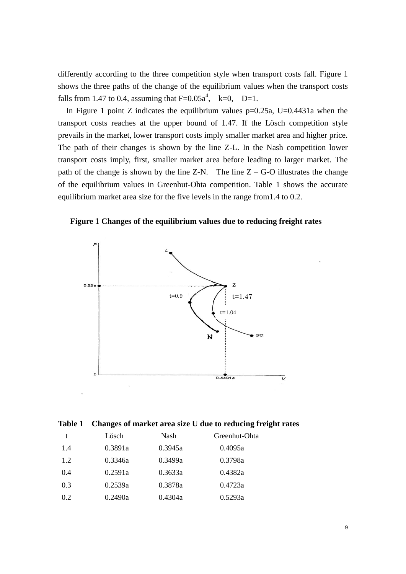differently according to the three competition style when transport costs fall. Figure 1 shows the three paths of the change of the equilibrium values when the transport costs falls from 1.47 to 0.4, assuming that  $F=0.05a^4$ ,  $k=0$ ,  $D=1$ .

In Figure 1 point Z indicates the equilibrium values  $p=0.25a$ , U=0.4431a when the transport costs reaches at the upper bound of 1.47. If the Lösch competition style prevails in the market, lower transport costs imply smaller market area and higher price. The path of their changes is shown by the line Z-L. In the Nash competition lower transport costs imply, first, smaller market area before leading to larger market. The path of the change is shown by the line  $Z-N$ . The line  $Z - G-O$  illustrates the change of the equilibrium values in Greenhut-Ohta competition. Table 1 shows the accurate equilibrium market area size for the five levels in the range from1.4 to 0.2.

**Figure**1**Changes of the equilibrium values due to reducing freight rates**



**Table 1 Changes of market area size U due to reducing freight rates**

|     | Lösch   | Nash    | Greenhut-Ohta |
|-----|---------|---------|---------------|
| 1.4 | 0.3891a | 0.3945a | 0.4095a       |
| 1.2 | 0.3346a | 0.3499a | 0.3798a       |
| 0.4 | 0.2591a | 0.3633a | 0.4382a       |
| 0.3 | 0.2539a | 0.3878a | 0.4723a       |
| 0.2 | 0.2490a | 0.4304a | 0.5293a       |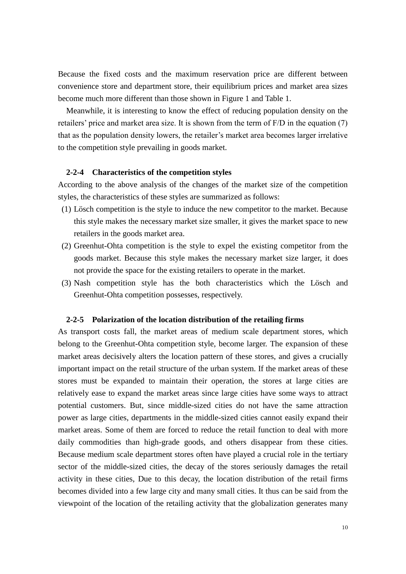Because the fixed costs and the maximum reservation price are different between convenience store and department store, their equilibrium prices and market area sizes become much more different than those shown in Figure 1 and Table 1.

Meanwhile, it is interesting to know the effect of reducing population density on the retailers' price and market area size. It is shown from the term of F/D in the equation (7) that as the population density lowers, the retailer's market area becomes larger irrelative to the competition style prevailing in goods market.

#### **2-2-4 Characteristics of the competition styles**

According to the above analysis of the changes of the market size of the competition styles, the characteristics of these styles are summarized as follows:

- (1) Lösch competition is the style to induce the new competitor to the market. Because this style makes the necessary market size smaller, it gives the market space to new retailers in the goods market area.
- (2) Greenhut-Ohta competition is the style to expel the existing competitor from the goods market. Because this style makes the necessary market size larger, it does not provide the space for the existing retailers to operate in the market.
- (3) Nash competition style has the both characteristics which the Lösch and Greenhut-Ohta competition possesses, respectively.

#### **2-2-5 Polarization of the location distribution of the retailing firms**

As transport costs fall, the market areas of medium scale department stores, which belong to the Greenhut-Ohta competition style, become larger. The expansion of these market areas decisively alters the location pattern of these stores, and gives a crucially important impact on the retail structure of the urban system. If the market areas of these stores must be expanded to maintain their operation, the stores at large cities are relatively ease to expand the market areas since large cities have some ways to attract potential customers. But, since middle-sized cities do not have the same attraction power as large cities, departments in the middle-sized cities cannot easily expand their market areas. Some of them are forced to reduce the retail function to deal with more daily commodities than high-grade goods, and others disappear from these cities. Because medium scale department stores often have played a crucial role in the tertiary sector of the middle-sized cities, the decay of the stores seriously damages the retail activity in these cities, Due to this decay, the location distribution of the retail firms becomes divided into a few large city and many small cities. It thus can be said from the viewpoint of the location of the retailing activity that the globalization generates many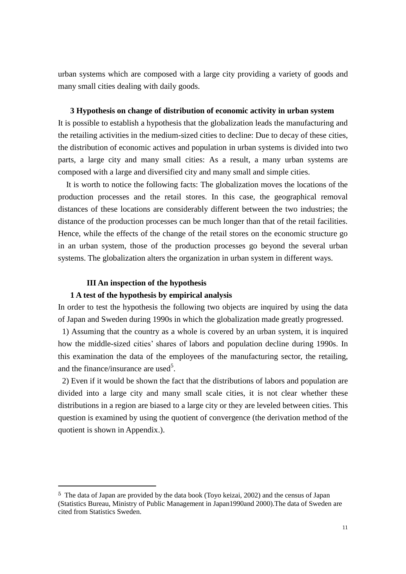urban systems which are composed with a large city providing a variety of goods and many small cities dealing with daily goods.

### **3 Hypothesis on change of distribution of economic activity in urban system**

It is possible to establish a hypothesis that the globalization leads the manufacturing and the retailing activities in the medium-sized cities to decline: Due to decay of these cities, the distribution of economic actives and population in urban systems is divided into two parts, a large city and many small cities: As a result, a many urban systems are composed with a large and diversified city and many small and simple cities.

 It is worth to notice the following facts: The globalization moves the locations of the production processes and the retail stores. In this case, the geographical removal distances of these locations are considerably different between the two industries; the distance of the production processes can be much longer than that of the retail facilities. Hence, while the effects of the change of the retail stores on the economic structure go in an urban system, those of the production processes go beyond the several urban systems. The globalization alters the organization in urban system in different ways.

## **III An inspection of the hypothesis**

 $\overline{a}$ 

# **1 A test of the hypothesis by empirical analysis**

In order to test the hypothesis the following two objects are inquired by using the data of Japan and Sweden during 1990s in which the globalization made greatly progressed.

1) Assuming that the country as a whole is covered by an urban system, it is inquired how the middle-sized cities' shares of labors and population decline during 1990s. In this examination the data of the employees of the manufacturing sector, the retailing, and the finance/insurance are used<sup>5</sup>.

2) Even if it would be shown the fact that the distributions of labors and population are divided into a large city and many small scale cities, it is not clear whether these distributions in a region are biased to a large city or they are leveled between cities. This question is examined by using the quotient of convergence (the derivation method of the quotient is shown in Appendix.).

<sup>5</sup> The data of Japan are provided by the data book (Toyo keizai, 2002) and the census of Japan (Statistics Bureau, Ministry of Public Management in Japan1990and 2000).The data of Sweden are cited from Statistics Sweden.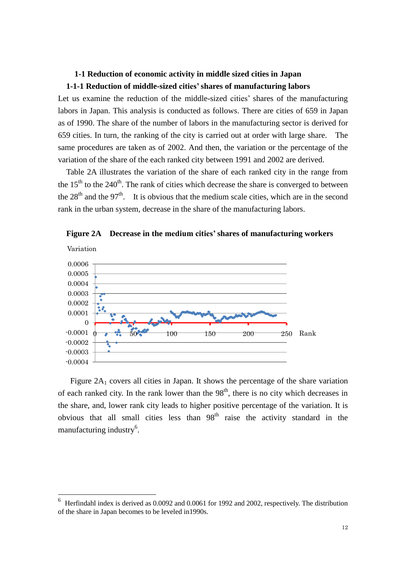# **1-1 Reduction of economic activity in middle sized cities in Japan 1-1-1 Reduction of middle-sized cities' shares of manufacturing labors**

Let us examine the reduction of the middle-sized cities' shares of the manufacturing labors in Japan. This analysis is conducted as follows. There are cities of 659 in Japan as of 1990. The share of the number of labors in the manufacturing sector is derived for 659 cities. In turn, the ranking of the city is carried out at order with large share. The same procedures are taken as of 2002. And then, the variation or the percentage of the variation of the share of the each ranked city between 1991 and 2002 are derived.

 Table 2A illustrates the variation of the share of each ranked city in the range from the  $15<sup>th</sup>$  to the  $240<sup>th</sup>$ . The rank of cities which decrease the share is converged to between the  $28<sup>th</sup>$  and the  $97<sup>th</sup>$ . It is obvious that the medium scale cities, which are in the second rank in the urban system, decrease in the share of the manufacturing labors.



**Figure 2A Decrease in the medium cities' shares of manufacturing workers** 

Figure  $2A_1$  covers all cities in Japan. It shows the percentage of the share variation of each ranked city. In the rank lower than the  $98<sup>th</sup>$ , there is no city which decreases in the share, and, lower rank city leads to higher positive percentage of the variation. It is obvious that all small cities less than  $98<sup>th</sup>$  raise the activity standard in the manufacturing industry<sup>6</sup>.

 $\overline{a}$ 

<sup>6</sup> Herfindahl index is derived as 0.0092 and 0.0061 for 1992 and 2002, respectively. The distribution of the share in Japan becomes to be leveled in1990s.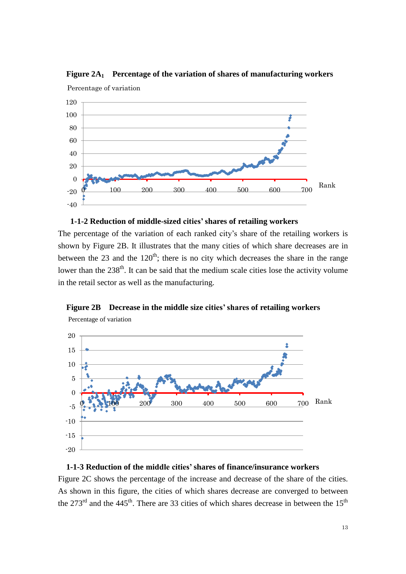

**Figure 2A<sup>1</sup> Percentage of the variation of shares of manufacturing workers**



The percentage of the variation of each ranked city's share of the retailing workers is shown by Figure 2B. It illustrates that the many cities of which share decreases are in between the 23 and the  $120<sup>th</sup>$ ; there is no city which decreases the share in the range lower than the  $238<sup>th</sup>$ . It can be said that the medium scale cities lose the activity volume in the retail sector as well as the manufacturing.



**Figure 2B Decrease in the middle size cities' shares of retailing workers**  Percentage of variation

## **1-1-3 Reduction of the middle cities' shares of finance/insurance workers**

Figure 2C shows the percentage of the increase and decrease of the share of the cities. As shown in this figure, the cities of which shares decrease are converged to between the 273<sup>rd</sup> and the 445<sup>th</sup>. There are 33 cities of which shares decrease in between the 15<sup>th</sup>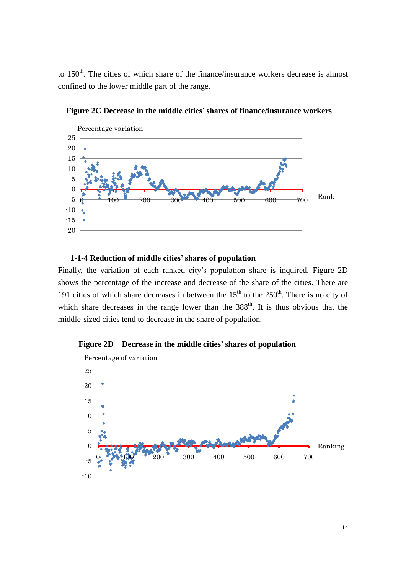to  $150<sup>th</sup>$ . The cities of which share of the finance/insurance workers decrease is almost confined to the lower middle part of the range.



**Figure 2C Decrease in the middle cities' shares of finance/insurance workers** 

# **1-1-4 Reduction of middle cities' shares of population**

Finally, the variation of each ranked city's population share is inquired. Figure 2D shows the percentage of the increase and decrease of the share of the cities. There are 191 cities of which share decreases in between the  $15<sup>th</sup>$  to the  $250<sup>th</sup>$ . There is no city of which share decreases in the range lower than the  $388<sup>th</sup>$ . It is thus obvious that the middle-sized cities tend to decrease in the share of population.



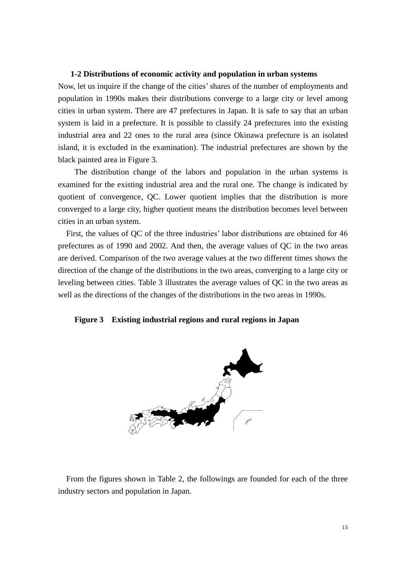#### **1-2 Distributions of economic activity and population in urban systems**

Now, let us inquire if the change of the cities' shares of the number of employments and population in 1990s makes their distributions converge to a large city or level among cities in urban system. There are 47 prefectures in Japan. It is safe to say that an urban system is laid in a prefecture. It is possible to classify 24 prefectures into the existing industrial area and 22 ones to the rural area (since Okinawa prefecture is an isolated island, it is excluded in the examination). The industrial prefectures are shown by the black painted area in Figure 3.

The distribution change of the labors and population in the urban systems is examined for the existing industrial area and the rural one. The change is indicated by quotient of convergence, QC. Lower quotient implies that the distribution is more converged to a large city, higher quotient means the distribution becomes level between cities in an urban system.

First, the values of QC of the three industries' labor distributions are obtained for 46 prefectures as of 1990 and 2002. And then, the average values of QC in the two areas are derived. Comparison of the two average values at the two different times shows the direction of the change of the distributions in the two areas, converging to a large city or leveling between cities. Table 3 illustrates the average values of QC in the two areas as well as the directions of the changes of the distributions in the two areas in 1990s.

#### **Figure 3 Existing industrial regions and rural regions in Japan**



From the figures shown in Table 2, the followings are founded for each of the three industry sectors and population in Japan.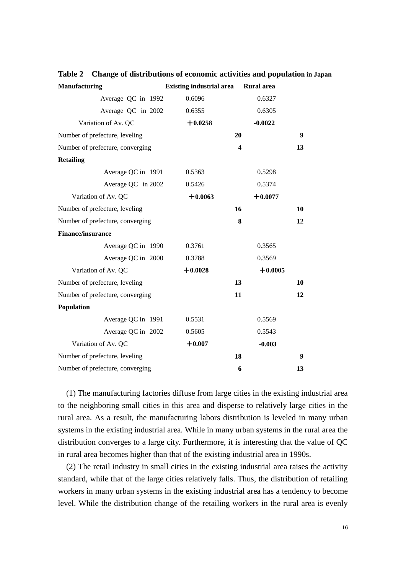| <b>Manufacturing</b>             | <b>Existing industrial area</b> | <b>Rural</b> area       |    |
|----------------------------------|---------------------------------|-------------------------|----|
| Average QC in 1992               | 0.6096                          | 0.6327                  |    |
| Average QC in 2002               | 0.6355                          | 0.6305                  |    |
| Variation of Av. QC              | $+0.0258$                       | $-0.0022$               |    |
| Number of prefecture, leveling   |                                 | 20                      | 9  |
| Number of prefecture, converging |                                 | $\overline{\mathbf{4}}$ | 13 |
| <b>Retailing</b>                 |                                 |                         |    |
| Average QC in 1991               | 0.5363                          | 0.5298                  |    |
| Average QC in 2002               | 0.5426                          | 0.5374                  |    |
| Variation of Av. QC              | $+0.0063$                       | $+0.0077$               |    |
| Number of prefecture, leveling   |                                 | 16                      | 10 |
| Number of prefecture, converging |                                 | 8                       | 12 |
| <b>Finance/insurance</b>         |                                 |                         |    |
| Average QC in 1990               | 0.3761                          | 0.3565                  |    |
| Average QC in 2000               | 0.3788                          | 0.3569                  |    |
| Variation of Av. QC              | $+0.0028$                       | $+0.0005$               |    |
| Number of prefecture, leveling   |                                 | 13                      | 10 |
| Number of prefecture, converging |                                 | 11                      | 12 |
| Population                       |                                 |                         |    |
| Average QC in 1991               | 0.5531                          | 0.5569                  |    |
| Average QC in 2002               | 0.5605                          | 0.5543                  |    |
| Variation of Av. QC              | $+0.007$                        | $-0.003$                |    |
| Number of prefecture, leveling   |                                 | 18                      | 9  |
| Number of prefecture, converging |                                 | 6                       | 13 |

**Table 2 Change of distributions of economic activities and population in Japan**

(1) The manufacturing factories diffuse from large cities in the existing industrial area to the neighboring small cities in this area and disperse to relatively large cities in the rural area. As a result, the manufacturing labors distribution is leveled in many urban systems in the existing industrial area. While in many urban systems in the rural area the distribution converges to a large city. Furthermore, it is interesting that the value of QC in rural area becomes higher than that of the existing industrial area in 1990s.

(2) The retail industry in small cities in the existing industrial area raises the activity standard, while that of the large cities relatively falls. Thus, the distribution of retailing workers in many urban systems in the existing industrial area has a tendency to become level. While the distribution change of the retailing workers in the rural area is evenly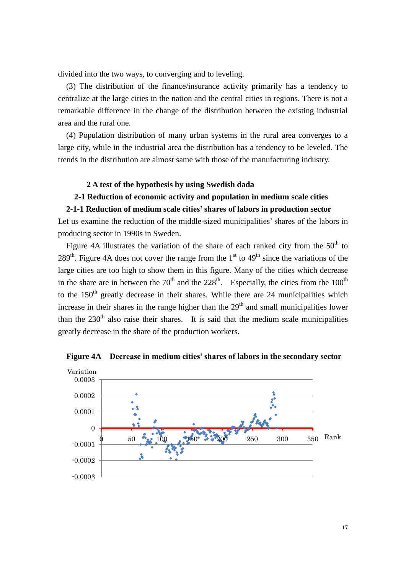divided into the two ways, to converging and to leveling.

(3) The distribution of the finance/insurance activity primarily has a tendency to centralize at the large cities in the nation and the central cities in regions. There is not a remarkable difference in the change of the distribution between the existing industrial area and the rural one.

(4) Population distribution of many urban systems in the rural area converges to a large city, while in the industrial area the distribution has a tendency to be leveled. The trends in the distribution are almost same with those of the manufacturing industry.

# **2 A test of the hypothesis by using Swedish dada**

## **2-1 Reduction of economic activity and population in medium scale cities**

#### **2-1-1 Reduction of medium scale cities' shares of labors in production sector**

Let us examine the reduction of the middle-sized municipalities' shares of the labors in producing sector in 1990s in Sweden.

Figure 4A illustrates the variation of the share of each ranked city from the  $50<sup>th</sup>$  to 289<sup>th</sup>. Figure 4A does not cover the range from the  $1<sup>st</sup>$  to  $49<sup>th</sup>$  since the variations of the large cities are too high to show them in this figure. Many of the cities which decrease in the share are in between the  $70<sup>th</sup>$  and the  $228<sup>th</sup>$ . Especially, the cities from the  $100<sup>th</sup>$ to the  $150<sup>th</sup>$  greatly decrease in their shares. While there are 24 municipalities which increase in their shares in the range higher than the  $29<sup>th</sup>$  and small municipalities lower than the  $230<sup>th</sup>$  also raise their shares. It is said that the medium scale municipalities greatly decrease in the share of the production workers.



**Figure 4A Decrease in medium cities' shares of labors in the secondary sector**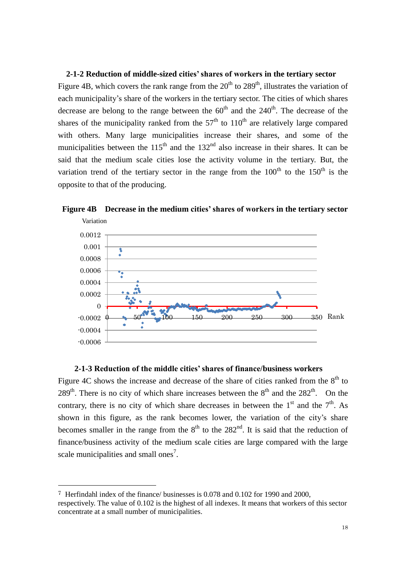# **2-1-2 Reduction of middle-sized cities' shares of workers in the tertiary sector**

Figure 4B, which covers the rank range from the  $20<sup>th</sup>$  to  $289<sup>th</sup>$ , illustrates the variation of each municipality's share of the workers in the tertiary sector. The cities of which shares decrease are belong to the range between the  $60<sup>th</sup>$  and the  $240<sup>th</sup>$ . The decrease of the shares of the municipality ranked from the  $57<sup>th</sup>$  to  $110<sup>th</sup>$  are relatively large compared with others. Many large municipalities increase their shares, and some of the municipalities between the  $115<sup>th</sup>$  and the  $132<sup>nd</sup>$  also increase in their shares. It can be said that the medium scale cities lose the activity volume in the tertiary. But, the variation trend of the tertiary sector in the range from the  $100<sup>th</sup>$  to the  $150<sup>th</sup>$  is the opposite to that of the producing.

**Figure 4B Decrease in the medium cities' shares of workers in the tertiary sector**



## **2-1-3 Reduction of the middle cities' shares of finance/business workers**

Figure 4C shows the increase and decrease of the share of cities ranked from the  $8<sup>th</sup>$  to 289<sup>th</sup>. There is no city of which share increases between the  $8<sup>th</sup>$  and the 282<sup>th</sup>. On the contrary, there is no city of which share decreases in between the  $1<sup>st</sup>$  and the  $7<sup>th</sup>$ . As shown in this figure, as the rank becomes lower, the variation of the city's share becomes smaller in the range from the  $8<sup>th</sup>$  to the 282<sup>nd</sup>. It is said that the reduction of finance/business activity of the medium scale cities are large compared with the large scale municipalities and small ones<sup>7</sup>.

 $\overline{a}$ 

<sup>7</sup> Herfindahl index of the finance/ businesses is 0.078 and 0.102 for 1990 and 2000, respectively. The value of 0.102 is the highest of all indexes. It means that workers of this sector concentrate at a small number of municipalities.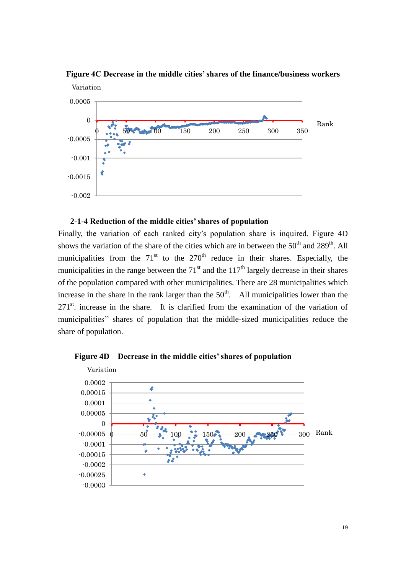

**Figure 4C Decrease in the middle cities' shares of the finance/business workers** 

# **2-1-4 Reduction of the middle cities' shares of population**

Finally, the variation of each ranked city's population share is inquired. Figure 4D shows the variation of the share of the cities which are in between the  $50<sup>th</sup>$  and  $289<sup>th</sup>$ . All municipalities from the  $71<sup>st</sup>$  to the  $270<sup>th</sup>$  reduce in their shares. Especially, the municipalities in the range between the  $71<sup>st</sup>$  and the  $117<sup>th</sup>$  largely decrease in their shares of the population compared with other municipalities. There are 28 municipalities which increase in the share in the rank larger than the  $50<sup>th</sup>$ . All municipalities lower than the  $271<sup>st</sup>$ . increase in the share. It is clarified from the examination of the variation of municipalities'' shares of population that the middle-sized municipalities reduce the share of population.



**Figure 4D Decrease in the middle cities' shares of population**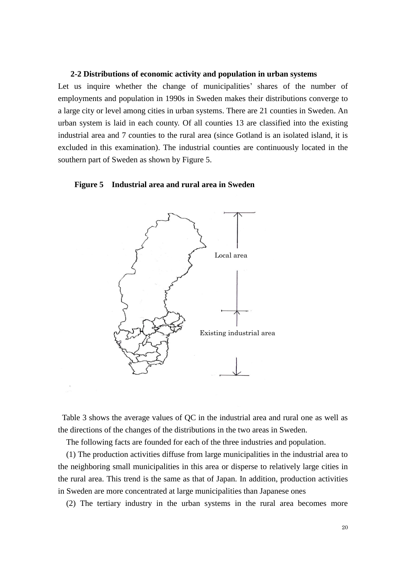#### **2-2 Distributions of economic activity and population in urban systems**

Let us inquire whether the change of municipalities' shares of the number of employments and population in 1990s in Sweden makes their distributions converge to a large city or level among cities in urban systems. There are 21 counties in Sweden. An urban system is laid in each county. Of all counties 13 are classified into the existing industrial area and 7 counties to the rural area (since Gotland is an isolated island, it is excluded in this examination). The industrial counties are continuously located in the southern part of Sweden as shown by Figure 5.

#### **Figure 5 Industrial area and rural area in Sweden**



Table 3 shows the average values of QC in the industrial area and rural one as well as the directions of the changes of the distributions in the two areas in Sweden.

The following facts are founded for each of the three industries and population.

(1) The production activities diffuse from large municipalities in the industrial area to the neighboring small municipalities in this area or disperse to relatively large cities in the rural area. This trend is the same as that of Japan. In addition, production activities in Sweden are more concentrated at large municipalities than Japanese ones

(2) The tertiary industry in the urban systems in the rural area becomes more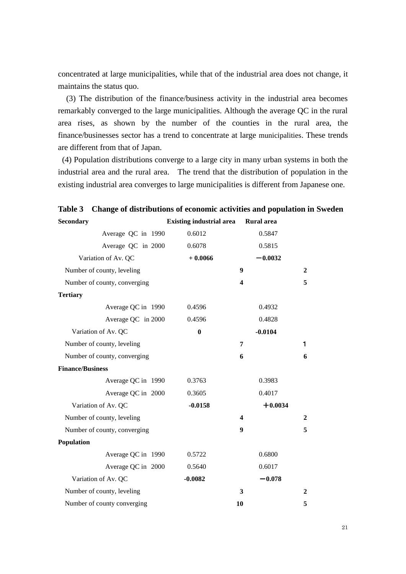concentrated at large municipalities, while that of the industrial area does not change, it maintains the status quo.

(3) The distribution of the finance/business activity in the industrial area becomes remarkably converged to the large municipalities. Although the average QC in the rural area rises, as shown by the number of the counties in the rural area, the finance/businesses sector has a trend to concentrate at large municipalities. These trends are different from that of Japan.

(4) Population distributions converge to a large city in many urban systems in both the industrial area and the rural area. The trend that the distribution of population in the existing industrial area converges to large municipalities is different from Japanese one.

| <b>Secondary</b>             | <b>Existing industrial area</b> | <b>Rural</b> area |                |
|------------------------------|---------------------------------|-------------------|----------------|
| Average QC in 1990           | 0.6012                          | 0.5847            |                |
| Average QC in 2000           | 0.6078                          | 0.5815            |                |
| Variation of Av. QC          | $+0.0066$                       | $-0.0032$         |                |
| Number of county, leveling   |                                 | $\boldsymbol{9}$  | $\overline{2}$ |
| Number of county, converging |                                 | 4                 | 5              |
| <b>Tertiary</b>              |                                 |                   |                |
| Average QC in 1990           | 0.4596                          | 0.4932            |                |
| Average QC in 2000           | 0.4596                          | 0.4828            |                |
| Variation of Av. QC          | $\bf{0}$                        | $-0.0104$         |                |
| Number of county, leveling   |                                 | 7                 | 1              |
| Number of county, converging |                                 | 6                 | 6              |
| <b>Finance/Business</b>      |                                 |                   |                |
| Average QC in 1990           | 0.3763                          | 0.3983            |                |
| Average QC in 2000           | 0.3605                          | 0.4017            |                |
| Variation of Av. QC          | $-0.0158$                       | $+0.0034$         |                |
| Number of county, leveling   |                                 | 4                 | 2              |
| Number of county, converging |                                 | 9                 | 5              |
| Population                   |                                 |                   |                |
| Average QC in 1990           | 0.5722                          | 0.6800            |                |
| Average QC in 2000           | 0.5640                          | 0.6017            |                |
| Variation of Av. QC          | $-0.0082$                       | $-0.078$          |                |
| Number of county, leveling   |                                 | 3                 | $\mathbf{2}$   |
| Number of county converging  |                                 | 10                | 5              |

**Table 3 Change of distributions of economic activities and population in Sweden**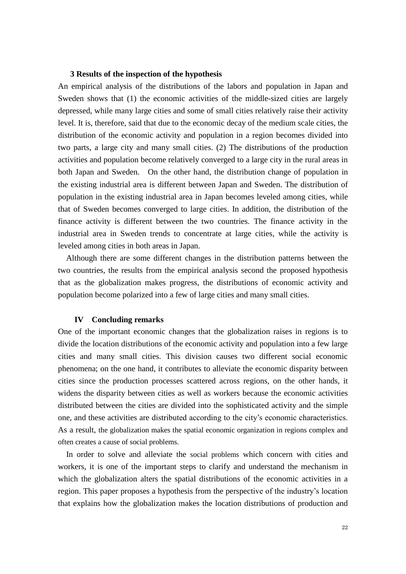### **3 Results of the inspection of the hypothesis**

An empirical analysis of the distributions of the labors and population in Japan and Sweden shows that (1) the economic activities of the middle-sized cities are largely depressed, while many large cities and some of small cities relatively raise their activity level. It is, therefore, said that due to the economic decay of the medium scale cities, the distribution of the economic activity and population in a region becomes divided into two parts, a large city and many small cities. (2) The distributions of the production activities and population become relatively converged to a large city in the rural areas in both Japan and Sweden. On the other hand, the distribution change of population in the existing industrial area is different between Japan and Sweden. The distribution of population in the existing industrial area in Japan becomes leveled among cities, while that of Sweden becomes converged to large cities. In addition, the distribution of the finance activity is different between the two countries. The finance activity in the industrial area in Sweden trends to concentrate at large cities, while the activity is leveled among cities in both areas in Japan.

Although there are some different changes in the distribution patterns between the two countries, the results from the empirical analysis second the proposed hypothesis that as the globalization makes progress, the distributions of economic activity and population become polarized into a few of large cities and many small cities.

### **IV Concluding remarks**

One of the important economic changes that the globalization raises in regions is to divide the location distributions of the economic activity and population into a few large cities and many small cities. This division causes two different social economic phenomena; on the one hand, it contributes to alleviate the economic disparity between cities since the production processes scattered across regions, on the other hands, it widens the disparity between cities as well as workers because the economic activities distributed between the cities are divided into the sophisticated activity and the simple one, and these activities are distributed according to the city's economic characteristics. As a result, the globalization makes the spatial economic organization in regions complex and often creates a cause of social problems.

In order to solve and alleviate the social problems which concern with cities and workers, it is one of the important steps to clarify and understand the mechanism in which the globalization alters the spatial distributions of the economic activities in a region. This paper proposes a hypothesis from the perspective of the industry's location that explains how the globalization makes the location distributions of production and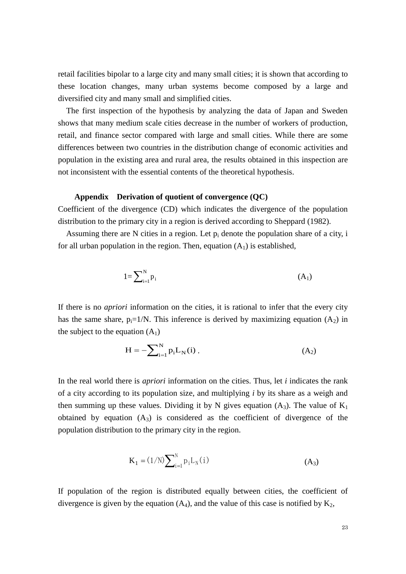retail facilities bipolar to a large city and many small cities; it is shown that according to these location changes, many urban systems become composed by a large and diversified city and many small and simplified cities.

The first inspection of the hypothesis by analyzing the data of Japan and Sweden shows that many medium scale cities decrease in the number of workers of production, retail, and finance sector compared with large and small cities. While there are some differences between two countries in the distribution change of economic activities and population in the existing area and rural area, the results obtained in this inspection are not inconsistent with the essential contents of the theoretical hypothesis.

#### **Appendix Derivation of quotient of convergence (QC)**

Coefficient of the divergence (CD) which indicates the divergence of the population distribution to the primary city in a region is derived according to Sheppard (1982).

Assuming there are N cities in a region. Let  $p_i$  denote the population share of a city, i for all urban population in the region. Then, equation  $(A_1)$  is established,

$$
1 = \sum_{i=1}^{N} p_i \tag{A_1}
$$

If there is no *apriori* information on the cities, it is rational to infer that the every city has the same share,  $p_i=1/N$ . This inference is derived by maximizing equation  $(A_2)$  in the subject to the equation  $(A_1)$ 

$$
H = -\sum_{i=1}^{N} p_i L_N(i) .
$$
 (A<sub>2</sub>)

In the real world there is *apriori* information on the cities. Thus, let *i* indicates the rank of a city according to its population size, and multiplying *i* by its share as a weigh and then summing up these values. Dividing it by N gives equation  $(A_3)$ . The value of  $K_1$ obtained by equation  $(A_3)$  is considered as the coefficient of divergence of the population distribution to the primary city in the region.

$$
K_1 = (1/N) \sum_{i=1}^{N} p_i L_N(i)
$$
 (A<sub>3</sub>)

If population of the region is distributed equally between cities, the coefficient of divergence is given by the equation  $(A_4)$ , and the value of this case is notified by  $K_2$ ,